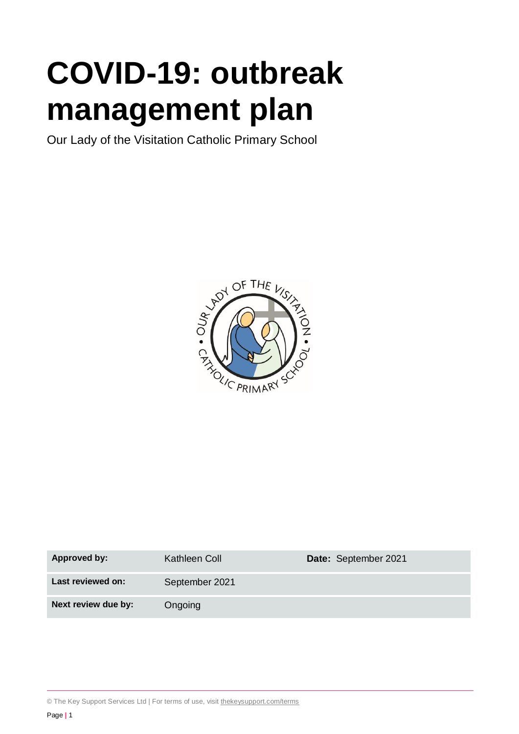# **COVID-19: outbreak management plan**

Our Lady of the Visitation Catholic Primary School



| <b>Approved by:</b> | Kathleen Coll  | Date: September 2021 |
|---------------------|----------------|----------------------|
| Last reviewed on:   | September 2021 |                      |
| Next review due by: | Ongoing        |                      |

© The Key Support Services Ltd | For terms of use, visit [thekeysupport.com/terms](https://thekeysupport.com/terms-of-use)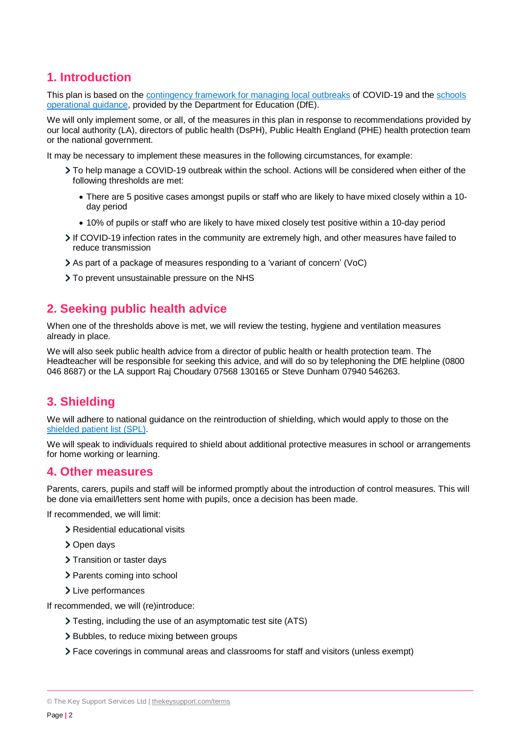# **1. Introduction**

This plan is based on the [contingency framework for managing local outbreaks](https://www.gov.uk/government/publications/coronavirus-covid-19-local-restrictions-in-education-and-childcare-settings) of COVID-19 and the [schools](https://www.gov.uk/government/publications/actions-for-schools-during-the-coronavirus-outbreak)  [operational guidance,](https://www.gov.uk/government/publications/actions-for-schools-during-the-coronavirus-outbreak) provided by the Department for Education (DfE).

We will only implement some, or all, of the measures in this plan in response to recommendations provided by our local authority (LA), directors of public health (DsPH), Public Health England (PHE) health protection team or the national government.

It may be necessary to implement these measures in the following circumstances, for example:

- To help manage a COVID-19 outbreak within the school. Actions will be considered when either of the following thresholds are met:
	- There are 5 positive cases amongst pupils or staff who are likely to have mixed closely within a 10 day period
	- 10% of pupils or staff who are likely to have mixed closely test positive within a 10-day period
- If COVID-19 infection rates in the community are extremely high, and other measures have failed to reduce transmission
- As part of a package of measures responding to a 'variant of concern' (VoC)
- > To prevent unsustainable pressure on the NHS

## **2. Seeking public health advice**

When one of the thresholds above is met, we will review the testing, hygiene and ventilation measures already in place.

We will also seek public health advice from a director of public health or health protection team. The Headteacher will be responsible for seeking this advice, and will do so by telephoning the DfE helpline (0800 046 8687) or the LA support Raj Choudary 07568 130165 or Steve Dunham 07940 546263.

## **3. Shielding**

We will adhere to national guidance on the reintroduction of shielding, which would apply to those on the shielded [patient list \(SPL\).](https://digital.nhs.uk/coronavirus/shielded-patient-list)

We will speak to individuals required to shield about additional protective measures in school or arrangements for home working or learning.

## **4. Other measures**

Parents, carers, pupils and staff will be informed promptly about the introduction of control measures. This will be done via email/letters sent home with pupils, once a decision has been made.

If recommended, we will limit:

- Residential educational visits
- > Open days
- > Transition or taster days
- > Parents coming into school
- > Live performances

If recommended, we will (re)introduce:

- Testing, including the use of an asymptomatic test site (ATS)
- > Bubbles, to reduce mixing between groups
- Face coverings in communal areas and classrooms for staff and visitors (unless exempt)

<sup>©</sup> The Key Support Services Ltd | [thekeysupport.com/terms](https://thekeysupport.com/terms-of-use)